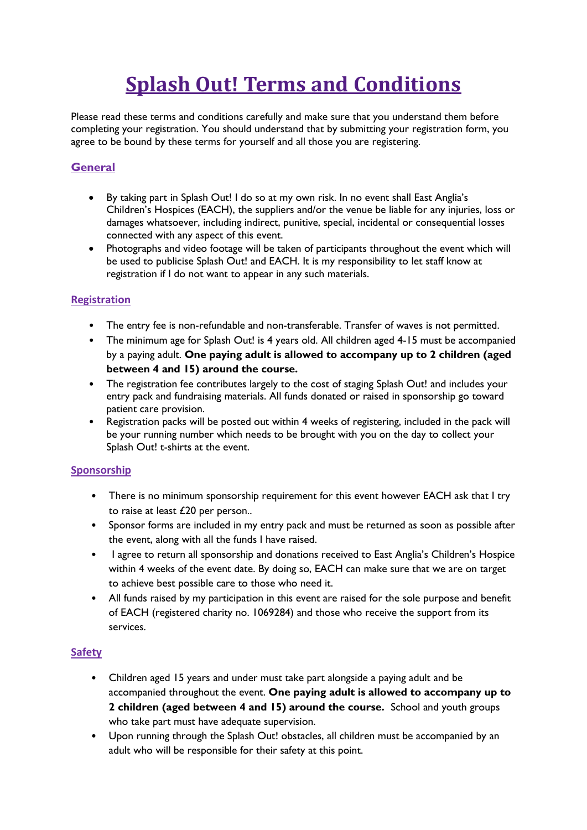# **Splash Out! Terms and Conditions**

Please read these terms and conditions carefully and make sure that you understand them before completing your registration. You should understand that by submitting your registration form, you agree to be bound by these terms for yourself and all those you are registering.

## **General**

- By taking part in Splash Out! I do so at my own risk. In no event shall East Anglia's Children's Hospices (EACH), the suppliers and/or the venue be liable for any injuries, loss or damages whatsoever, including indirect, punitive, special, incidental or consequential losses connected with any aspect of this event.
- Photographs and video footage will be taken of participants throughout the event which will be used to publicise Splash Out! and EACH. It is my responsibility to let staff know at registration if I do not want to appear in any such materials.

## **Registration**

- The entry fee is non-refundable and non-transferable. Transfer of waves is not permitted.
- The minimum age for Splash Out! is 4 years old. All children aged 4-15 must be accompanied by a paying adult. **One paying adult is allowed to accompany up to 2 children (aged between 4 and 15) around the course.**
- The registration fee contributes largely to the cost of staging Splash Out! and includes your entry pack and fundraising materials. All funds donated or raised in sponsorship go toward patient care provision.
- Registration packs will be posted out within 4 weeks of registering, included in the pack will be your running number which needs to be brought with you on the day to collect your Splash Out! t-shirts at the event.

### **Sponsorship**

- There is no minimum sponsorship requirement for this event however EACH ask that I try to raise at least £20 per person..
- Sponsor forms are included in my entry pack and must be returned as soon as possible after the event, along with all the funds I have raised.
- I agree to return all sponsorship and donations received to East Anglia's Children's Hospice within 4 weeks of the event date. By doing so, EACH can make sure that we are on target to achieve best possible care to those who need it.
- All funds raised by my participation in this event are raised for the sole purpose and benefit of EACH (registered charity no. 1069284) and those who receive the support from its services.

## **Safety**

- Children aged 15 years and under must take part alongside a paying adult and be accompanied throughout the event. **One paying adult is allowed to accompany up to 2 children (aged between 4 and 15) around the course.** School and youth groups who take part must have adequate supervision.
- Upon running through the Splash Out! obstacles, all children must be accompanied by an adult who will be responsible for their safety at this point.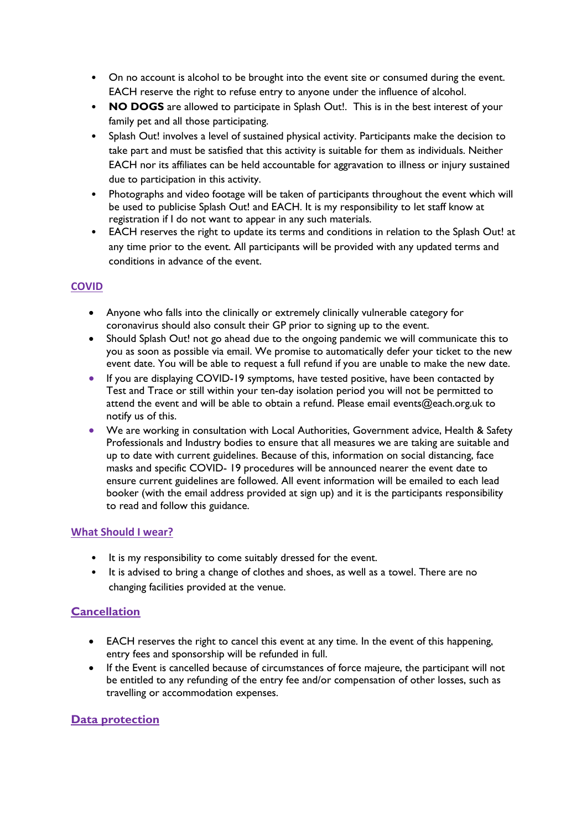- On no account is alcohol to be brought into the event site or consumed during the event. EACH reserve the right to refuse entry to anyone under the influence of alcohol.
- **NO DOGS** are allowed to participate in Splash Out!. This is in the best interest of your family pet and all those participating.
- Splash Out! involves a level of sustained physical activity. Participants make the decision to take part and must be satisfied that this activity is suitable for them as individuals. Neither EACH nor its affiliates can be held accountable for aggravation to illness or injury sustained due to participation in this activity.
- Photographs and video footage will be taken of participants throughout the event which will be used to publicise Splash Out! and EACH. It is my responsibility to let staff know at registration if I do not want to appear in any such materials.
- EACH reserves the right to update its terms and conditions in relation to the Splash Out! at any time prior to the event. All participants will be provided with any updated terms and conditions in advance of the event.

### **COVID**

- Anyone who falls into the clinically or extremely clinically vulnerable category for coronavirus should also consult their GP prior to signing up to the event.
- Should Splash Out! not go ahead due to the ongoing pandemic we will communicate this to you as soon as possible via email. We promise to automatically defer your ticket to the new event date. You will be able to request a full refund if you are unable to make the new date.
- If you are displaying COVID-19 symptoms, have tested positive, have been contacted by Test and Trace or still within your ten-day isolation period you will not be permitted to attend the event and will be able to obtain a refund. Please email events@each.org.uk to notify us of this.
- We are working in consultation with Local Authorities, Government advice, Health & Safety Professionals and Industry bodies to ensure that all measures we are taking are suitable and up to date with current guidelines. Because of this, information on social distancing, face masks and specific COVID- 19 procedures will be announced nearer the event date to ensure current guidelines are followed. All event information will be emailed to each lead booker (with the email address provided at sign up) and it is the participants responsibility to read and follow this guidance.

#### **What Should I wear?**

- It is my responsibility to come suitably dressed for the event.
- It is advised to bring a change of clothes and shoes, as well as a towel. There are no changing facilities provided at the venue.

## **Cancellation**

- EACH reserves the right to cancel this event at any time. In the event of this happening, entry fees and sponsorship will be refunded in full.
- If the Event is cancelled because of circumstances of force majeure, the participant will not be entitled to any refunding of the entry fee and/or compensation of other losses, such as travelling or accommodation expenses.

### **Data protection**